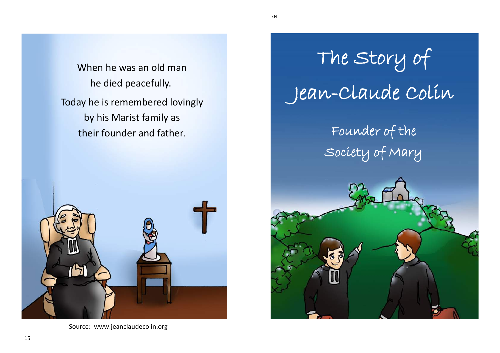When he was an old man he died peacefully. Today he is remembered lovingly by his Marist family as their founder and father.



Source: www.jeanclaudecolin.org

## The Story of Jean-Claude Colin Founder of the Society of Mary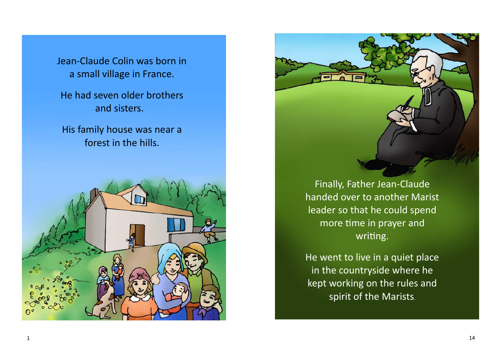Jean-Claude Colin was born in a small village in France.

He had seven older brothers and sisters.

His family house was near a forest in the hills.



Finally, Father Jean-Claude handed over to another Marist leader so that he could spend more time in prayer and writing.

He went to live in a quiet place in the countryside where he kept working on the rules and spirit of the Marists.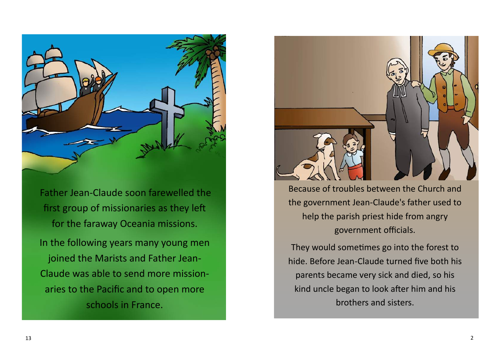

Father Jean-Claude soon farewelled the first group of missionaries as they left for the faraway Oceania missions. In the following years many young men joined the Marists and Father Jean-Claude was able to send more missionaries to the Pacific and to open more schools in France.



Because of troubles between the Church and the government Jean-Claude's father used to help the parish priest hide from angry government officials.

They would sometimes go into the forest to hide. Before Jean-Claude turned five both his parents became very sick and died, so his kind uncle began to look after him and his brothers and sisters.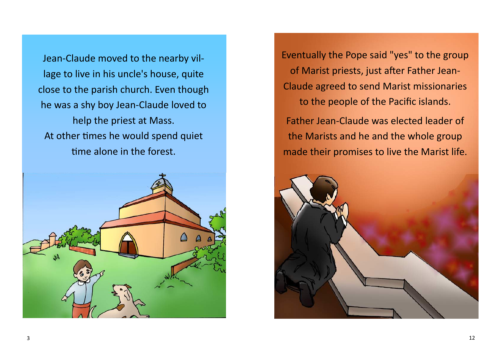Jean-Claude moved to the nearby village to live in his uncle's house, quite close to the parish church. Even though he was a shy boy Jean-Claude loved to help the priest at Mass. At other times he would spend quiet time alone in the forest.



Eventually the Pope said "yes" to the group of Marist priests, just after Father Jean-Claude agreed to send Marist missionaries to the people of the Pacific islands.

Father Jean-Claude was elected leader of the Marists and he and the whole group made their promises to live the Marist life.

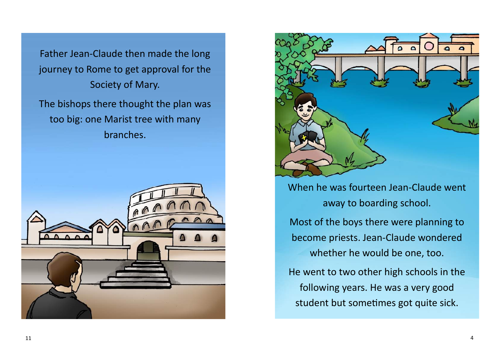Father Jean-Claude then made the long journey to Rome to get approval for the Society of Mary.

The bishops there thought the plan was too big: one Marist tree with many branches.





When he was fourteen Jean-Claude went away to boarding school.

Most of the boys there were planning to become priests. Jean-Claude wondered whether he would be one, too.

He went to two other high schools in the following years. He was a very good student but sometimes got quite sick.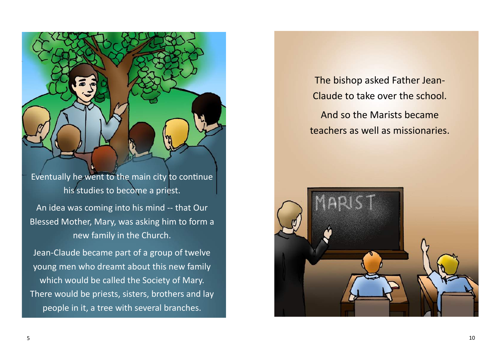Eventually he went to the main city to continue his studies to become a priest.

An idea was coming into his mind -- that Our Blessed Mother, Mary, was asking him to form a new family in the Church.

Jean-Claude became part of a group of twelve young men who dreamt about this new family which would be called the Society of Mary. There would be priests, sisters, brothers and lay people in it, a tree with several branches.

The bishop asked Father Jean-Claude to take over the school.

And so the Marists became teachers as well as missionaries.

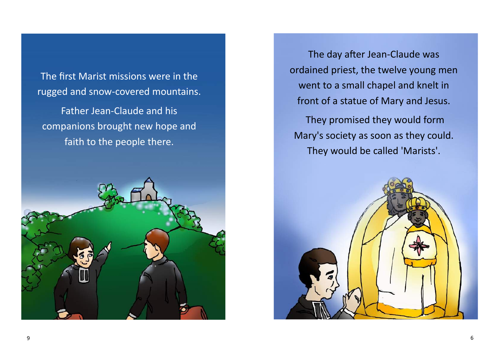The first Marist missions were in the rugged and snow-covered mountains.

Father Jean-Claude and his companions brought new hope and faith to the people there.



The day after Jean-Claude was ordained priest, the twelve young men went to a small chapel and knelt in front of a statue of Mary and Jesus.

They promised they would form Mary's society as soon as they could. They would be called 'Marists'.